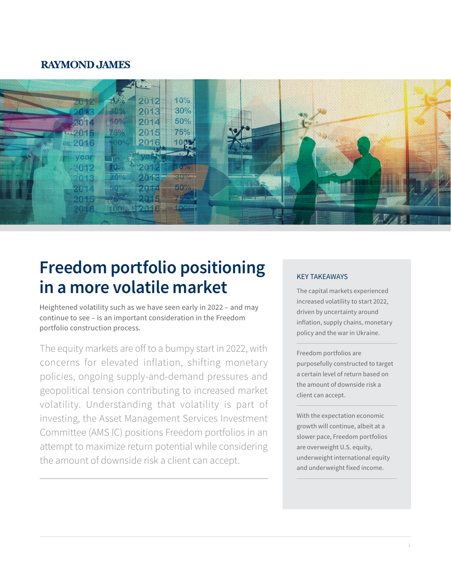### **RAYMOND JAMES**



# **Freedom portfolio positioning in a more volatile market**

Heightened volatility such as we have seen early in 2022 – and may continue to see – is an important consideration in the Freedom portfolio construction process.

The equity markets are off to a bumpy start in 2022, with concerns for elevated inflation, shifting monetary policies, ongoing supply-and-demand pressures and geopolitical tension contributing to increased market volatility. Understanding that volatility is part of investing, the Asset Management Services Investment Committee (AMS IC) positions Freedom portfolios in an attempt to maximize return potential while considering the amount of downside risk a client can accept.

#### KEY TAKEAWAYS

The capital markets experienced increased volatility to start 2022, driven by uncertainty around inflation, supply chains, monetary policy and the war in Ukraine.

Freedom portfolios are purposefully constructed to target a certain level of return based on the amount of downside risk a client can accept.

With the expectation economic growth will continue, albeit at a slower pace, Freedom portfolios are overweight U.S. equity, underweight international equity and underweight fixed income.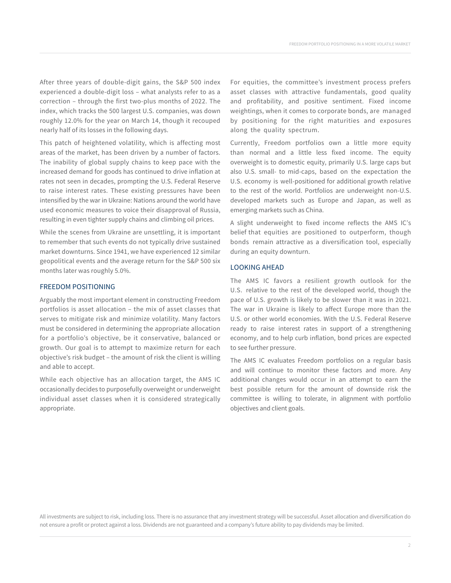FREEDOM PORTFOLIO POSITIONING IN A MORE VOLATILE MARKET

After three years of double-digit gains, the S&P 500 index experienced a double-digit loss – what analysts refer to as a correction – through the first two-plus months of 2022. The index, which tracks the 500 largest U.S. companies, was down roughly 12.0% for the year on March 14, though it recouped nearly half of its losses in the following days.

This patch of heightened volatility, which is affecting most areas of the market, has been driven by a number of factors. The inability of global supply chains to keep pace with the increased demand for goods has continued to drive inflation at rates not seen in decades, prompting the U.S. Federal Reserve to raise interest rates. These existing pressures have been intensified by the war in Ukraine: Nations around the world have used economic measures to voice their disapproval of Russia, resulting in even tighter supply chains and climbing oil prices.

While the scenes from Ukraine are unsettling, it is important to remember that such events do not typically drive sustained market downturns. Since 1941, we have experienced 12 similar geopolitical events and the average return for the S&P 500 six months later was roughly 5.0%.

#### FREEDOM POSITIONING

Arguably the most important element in constructing Freedom portfolios is asset allocation – the mix of asset classes that serves to mitigate risk and minimize volatility. Many factors must be considered in determining the appropriate allocation for a portfolio's objective, be it conservative, balanced or growth. Our goal is to attempt to maximize return for each objective's risk budget – the amount of risk the client is willing and able to accept.

While each objective has an allocation target, the AMS IC occasionally decides to purposefully overweight or underweight individual asset classes when it is considered strategically appropriate.

For equities, the committee's investment process prefers asset classes with attractive fundamentals, good quality and profitability, and positive sentiment. Fixed income weightings, when it comes to corporate bonds, are managed by positioning for the right maturities and exposures along the quality spectrum.

Currently, Freedom portfolios own a little more equity than normal and a little less fixed income. The equity overweight is to domestic equity, primarily U.S. large caps but also U.S. small- to mid-caps, based on the expectation the U.S. economy is well-positioned for additional growth relative to the rest of the world. Portfolios are underweight non-U.S. developed markets such as Europe and Japan, as well as emerging markets such as China.

A slight underweight to fixed income reflects the AMS IC's belief that equities are positioned to outperform, though bonds remain attractive as a diversification tool, especially during an equity downturn.

#### LOOKING AHEAD

The AMS IC favors a resilient growth outlook for the U.S. relative to the rest of the developed world, though the pace of U.S. growth is likely to be slower than it was in 2021. The war in Ukraine is likely to affect Europe more than the U.S. or other world economies. With the U.S. Federal Reserve ready to raise interest rates in support of a strengthening economy, and to help curb inflation, bond prices are expected to see further pressure.

The AMS IC evaluates Freedom portfolios on a regular basis and will continue to monitor these factors and more. Any additional changes would occur in an attempt to earn the best possible return for the amount of downside risk the committee is willing to tolerate, in alignment with portfolio objectives and client goals.

All investments are subject to risk, including loss. There is no assurance that any investment strategy will be successful. Asset allocation and diversification do not ensure a profit or protect against a loss. Dividends are not guaranteed and a company's future ability to pay dividends may be limited.